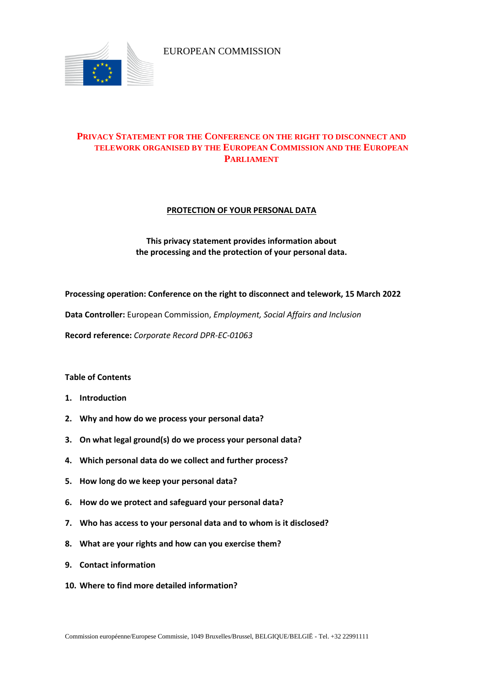

EUROPEAN COMMISSION

# **PRIVACY STATEMENT FOR THE CONFERENCE ON THE RIGHT TO DISCONNECT AND TELEWORK ORGANISED BY THE EUROPEAN COMMISSION AND THE EUROPEAN PARLIAMENT**

## **PROTECTION OF YOUR PERSONAL DATA**

## **This privacy statement provides information about the processing and the protection of your personal data.**

**Processing operation: Conference on the right to disconnect and telework, 15 March 2022**

**Data Controller:** European Commission, *Employment, Social Affairs and Inclusion*

**Record reference:** *Corporate Record DPR-EC-01063*

## **Table of Contents**

- **1. Introduction**
- **2. Why and how do we process your personal data?**
- **3. On what legal ground(s) do we process your personal data?**
- **4. Which personal data do we collect and further process?**
- **5. How long do we keep your personal data?**
- **6. How do we protect and safeguard your personal data?**
- **7. Who has access to your personal data and to whom is it disclosed?**
- **8. What are your rights and how can you exercise them?**
- **9. Contact information**
- **10. Where to find more detailed information?**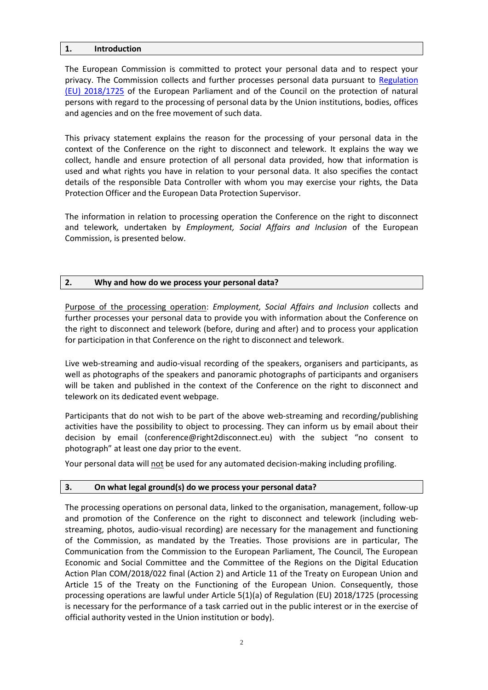### **1. Introduction**

The European Commission is committed to protect your personal data and to respect your privacy. The Commission collects and further processes personal data pursuant to [Regulation](https://eur-lex.europa.eu/legal-content/EN/TXT/?uri=uriserv:OJ.L_.2018.295.01.0039.01.ENG&toc=OJ:L:2018:295:TOC)  [\(EU\) 2018/1725](https://eur-lex.europa.eu/legal-content/EN/TXT/?uri=uriserv:OJ.L_.2018.295.01.0039.01.ENG&toc=OJ:L:2018:295:TOC) of the European Parliament and of the Council on the protection of natural persons with regard to the processing of personal data by the Union institutions, bodies, offices and agencies and on the free movement of such data.

This privacy statement explains the reason for the processing of your personal data in the context of the Conference on the right to disconnect and telework. It explains the way we collect, handle and ensure protection of all personal data provided, how that information is used and what rights you have in relation to your personal data. It also specifies the contact details of the responsible Data Controller with whom you may exercise your rights, the Data Protection Officer and the European Data Protection Supervisor.

The information in relation to processing operation the Conference on the right to disconnect and telework*,* undertaken by *Employment, Social Affairs and Inclusion* of the European Commission, is presented below.

## **2. Why and how do we process your personal data?**

Purpose of the processing operation: *Employment, Social Affairs and Inclusion* collects and further processes your personal data to provide you with information about the Conference on the right to disconnect and telework (before, during and after) and to process your application for participation in that Conference on the right to disconnect and telework.

Live web-streaming and audio-visual recording of the speakers, organisers and participants, as well as photographs of the speakers and panoramic photographs of participants and organisers will be taken and published in the context of the Conference on the right to disconnect and telework on its dedicated event webpage.

Participants that do not wish to be part of the above web-streaming and recording/publishing activities have the possibility to object to processing. They can inform us by email about their decision by email (conference@right2disconnect.eu) with the subject "no consent to photograph" at least one day prior to the event.

Your personal data will not be used for any automated decision-making including profiling.

## **3. On what legal ground(s) do we process your personal data?**

The processing operations on personal data, linked to the organisation, management, follow-up and promotion of the Conference on the right to disconnect and telework (including webstreaming, photos, audio-visual recording) are necessary for the management and functioning of the Commission, as mandated by the Treaties. Those provisions are in particular, The Communication from the Commission to the European Parliament, The Council, The European Economic and Social Committee and the Committee of the Regions on the Digital Education Action Plan COM/2018/022 final (Action 2) and Article 11 of the Treaty on European Union and Article 15 of the Treaty on the Functioning of the European Union. Consequently, those processing operations are lawful under Article 5(1)(a) of Regulation (EU) 2018/1725 (processing is necessary for the performance of a task carried out in the public interest or in the exercise of official authority vested in the Union institution or body).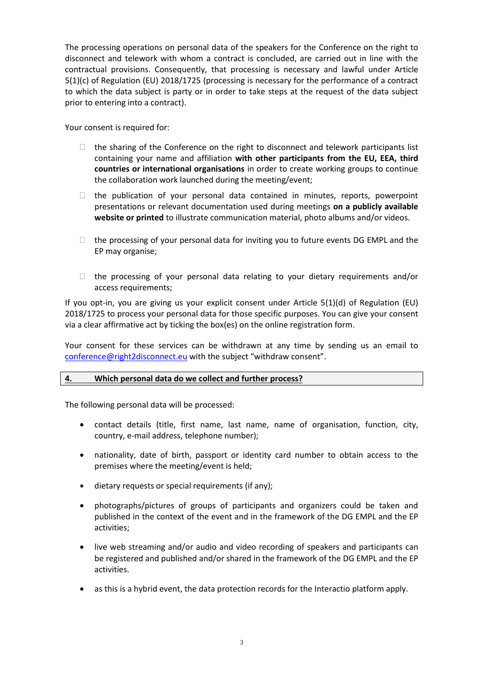The processing operations on personal data of the speakers for the Conference on the right to disconnect and telework with whom a contract is concluded, are carried out in line with the contractual provisions. Consequently, that processing is necessary and lawful under Article 5(1)(c) of Regulation (EU) 2018/1725 (processing is necessary for the performance of a contract to which the data subject is party or in order to take steps at the request of the data subject prior to entering into a contract).

Your consent is required for:

- $\Box$  the sharing of the Conference on the right to disconnect and telework participants list containing your name and affiliation **with other participants from the EU, EEA, third countries or international organisations** in order to create working groups to continue the collaboration work launched during the meeting/event;
- $\Box$  the publication of your personal data contained in minutes, reports, powerpoint presentations or relevant documentation used during meetings **on a publicly available website or printed** to illustrate communication material, photo albums and/or videos.
- $\Box$  the processing of your personal data for inviting you to future events DG EMPL and the EP may organise;
- $\Box$  the processing of your personal data relating to your dietary requirements and/or access requirements;

If you opt-in, you are giving us your explicit consent under Article 5(1)(d) of Regulation (EU) 2018/1725 to process your personal data for those specific purposes. You can give your consent via a clear affirmative act by ticking the box(es) on the online registration form.

Your consent for these services can be withdrawn at any time by sending us an email to [conference@right2disconnect.eu](mailto:conference@right2disconnect.eu) with the subject "withdraw consent".

## **4. Which personal data do we collect and further process?**

The following personal data will be processed:

- contact details (title, first name, last name, name of organisation, function, city, country, e-mail address, telephone number);
- nationality, date of birth, passport or identity card number to obtain access to the premises where the meeting/event is held;
- dietary requests or special requirements (if any);
- photographs/pictures of groups of participants and organizers could be taken and published in the context of the event and in the framework of the DG EMPL and the EP activities;
- live web streaming and/or audio and video recording of speakers and participants can be registered and published and/or shared in the framework of the DG EMPL and the EP activities.
- as this is a hybrid event, the data protection records for the Interactio platform apply.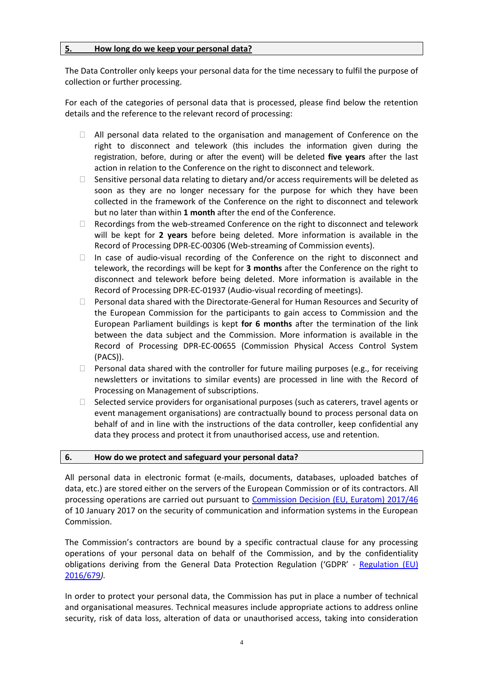## **5. How long do we keep your personal data?**

The Data Controller only keeps your personal data for the time necessary to fulfil the purpose of collection or further processing.

For each of the categories of personal data that is processed, please find below the retention details and the reference to the relevant record of processing:

- $\Box$  All personal data related to the organisation and management of Conference on the right to disconnect and telework (this includes the information given during the registration, before, during or after the event) will be deleted **five years** after the last action in relation to the Conference on the right to disconnect and telework.
- $\Box$  Sensitive personal data relating to dietary and/or access requirements will be deleted as soon as they are no longer necessary for the purpose for which they have been collected in the framework of the Conference on the right to disconnect and telework but no later than within **1 month** after the end of the Conference.
- $\Box$  Recordings from the web-streamed Conference on the right to disconnect and telework will be kept for **2 years** before being deleted. More information is available in the Record of Processing DPR-EC-00306 (Web-streaming of Commission events).
- $\Box$  In case of audio-visual recording of the Conference on the right to disconnect and telework, the recordings will be kept for **3 months** after the Conference on the right to disconnect and telework before being deleted. More information is available in the Record of Processing DPR-EC-01937 (Audio-visual recording of meetings).
- $\Box$  Personal data shared with the Directorate-General for Human Resources and Security of the European Commission for the participants to gain access to Commission and the European Parliament buildings is kept **for 6 months** after the termination of the link between the data subject and the Commission. More information is available in the Record of Processing DPR-EC-00655 (Commission Physical Access Control System (PACS)).
- $\Box$  Personal data shared with the controller for future mailing purposes (e.g., for receiving newsletters or invitations to similar events) are processed in line with the Record of Processing on Management of subscriptions.
- $\Box$  Selected service providers for organisational purposes (such as caterers, travel agents or event management organisations) are contractually bound to process personal data on behalf of and in line with the instructions of the data controller, keep confidential any data they process and protect it from unauthorised access, use and retention.

#### **6. How do we protect and safeguard your personal data?**

All personal data in electronic format (e-mails, documents, databases, uploaded batches of data, etc.) are stored either on the servers of the European Commission or of its contractors. All processing operations are carried out pursuant to [Commission Decision \(EU, Euratom\) 2017/46](https://eur-lex.europa.eu/legal-content/EN/TXT/?qid=1548093747090&uri=CELEX:32017D0046) of 10 January 2017 on the security of communication and information systems in the European Commission.

The Commission's contractors are bound by a specific contractual clause for any processing operations of your personal data on behalf of the Commission, and by the confidentiality obligations deriving from the General Data Protection Regulation ('GDPR' - [Regulation \(EU\)](https://eur-lex.europa.eu/legal-content/EN/TXT/?uri=celex%3A32016R0679)  [2016/679](https://eur-lex.europa.eu/legal-content/EN/TXT/?uri=celex%3A32016R0679)*).*

In order to protect your personal data, the Commission has put in place a number of technical and organisational measures. Technical measures include appropriate actions to address online security, risk of data loss, alteration of data or unauthorised access, taking into consideration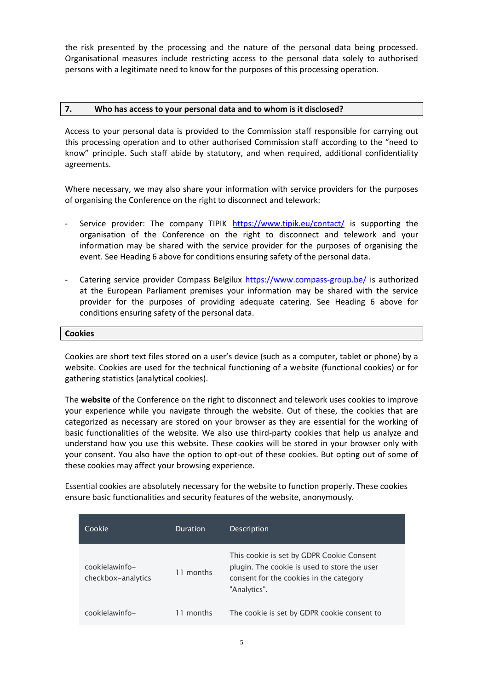the risk presented by the processing and the nature of the personal data being processed. Organisational measures include restricting access to the personal data solely to authorised persons with a legitimate need to know for the purposes of this processing operation.

#### **7. Who has access to your personal data and to whom is it disclosed?**

Access to your personal data is provided to the Commission staff responsible for carrying out this processing operation and to other authorised Commission staff according to the "need to know" principle. Such staff abide by statutory, and when required, additional confidentiality agreements.

Where necessary, we may also share your information with service providers for the purposes of organising the Conference on the right to disconnect and telework:

- Service provider: The company TIPIK <https://www.tipik.eu/contact/> is supporting the organisation of the Conference on the right to disconnect and telework and your information may be shared with the service provider for the purposes of organising the event. See Heading 6 above for conditions ensuring safety of the personal data.
- Catering service provider Compass Belgilux<https://www.compass-group.be/> is authorized at the European Parliament premises your information may be shared with the service provider for the purposes of providing adequate catering. See Heading 6 above for conditions ensuring safety of the personal data.

#### **Cookies**

Cookies are short text files stored on a user's device (such as a computer, tablet or phone) by a website. Cookies are used for the technical functioning of a website (functional cookies) or for gathering statistics (analytical cookies).

The **website** of the Conference on the right to disconnect and telework uses cookies to improve your experience while you navigate through the website. Out of these, the cookies that are categorized as necessary are stored on your browser as they are essential for the working of basic functionalities of the website. We also use third-party cookies that help us analyze and understand how you use this website. These cookies will be stored in your browser only with your consent. You also have the option to opt-out of these cookies. But opting out of some of these cookies may affect your browsing experience.

Essential cookies are absolutely necessary for the website to function properly. These cookies ensure basic functionalities and security features of the website, anonymously.

| Cookie                               | Duration  | <b>Description</b>                                                                                                                                   |
|--------------------------------------|-----------|------------------------------------------------------------------------------------------------------------------------------------------------------|
| cookielawinfo-<br>checkbox-analytics | 11 months | This cookie is set by GDPR Cookie Consent<br>plugin. The cookie is used to store the user<br>consent for the cookies in the category<br>"Analytics". |
| cookielawinfo-                       | 11 months | The cookie is set by GDPR cookie consent to                                                                                                          |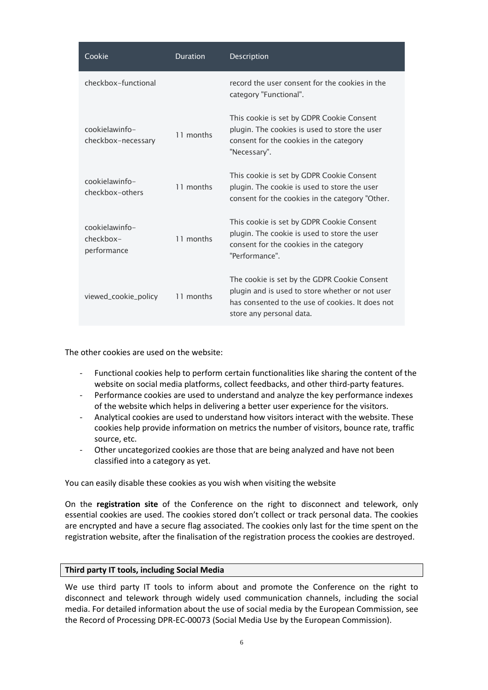| Cookie                                     | <b>Duration</b> | Description                                                                                                                                                                     |
|--------------------------------------------|-----------------|---------------------------------------------------------------------------------------------------------------------------------------------------------------------------------|
| checkbox-functional                        |                 | record the user consent for the cookies in the<br>category "Functional".                                                                                                        |
| cookielawinfo-<br>checkbox-necessary       | 11 months       | This cookie is set by GDPR Cookie Consent<br>plugin. The cookies is used to store the user<br>consent for the cookies in the category<br>"Necessary".                           |
| cookielawinfo-<br>checkbox-others          | 11 months       | This cookie is set by GDPR Cookie Consent<br>plugin. The cookie is used to store the user<br>consent for the cookies in the category "Other.                                    |
| cookielawinfo-<br>checkbox-<br>performance | 11 months       | This cookie is set by GDPR Cookie Consent<br>plugin. The cookie is used to store the user<br>consent for the cookies in the category<br>"Performance".                          |
| viewed_cookie_policy                       | 11 months       | The cookie is set by the GDPR Cookie Consent<br>plugin and is used to store whether or not user<br>has consented to the use of cookies. It does not<br>store any personal data. |

The other cookies are used on the website:

- Functional cookies help to perform certain functionalities like sharing the content of the website on social media platforms, collect feedbacks, and other third-party features.
- Performance cookies are used to understand and analyze the key performance indexes of the website which helps in delivering a better user experience for the visitors.
- Analytical cookies are used to understand how visitors interact with the website. These cookies help provide information on metrics the number of visitors, bounce rate, traffic source, etc.
- Other uncategorized cookies are those that are being analyzed and have not been classified into a category as yet.

You can easily disable these cookies as you wish when visiting the website

On the **registration site** of the Conference on the right to disconnect and telework, only essential cookies are used. The cookies stored don't collect or track personal data. The cookies are encrypted and have a secure flag associated. The cookies only last for the time spent on the registration website, after the finalisation of the registration process the cookies are destroyed.

## **Third party IT tools, including Social Media**

We use third party IT tools to inform about and promote the Conference on the right to disconnect and telework through widely used communication channels, including the social media. For detailed information about the use of social media by the European Commission, see the Record of Processing DPR-EC-00073 (Social Media Use by the European Commission).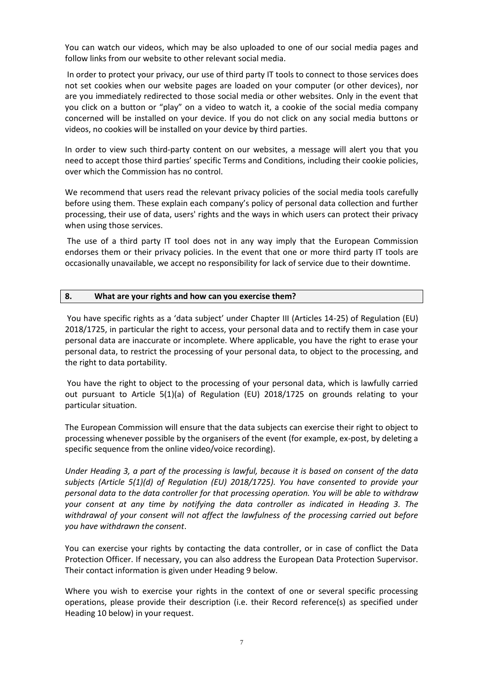You can watch our videos, which may be also uploaded to one of our social media pages and follow links from our website to other relevant social media.

In order to protect your privacy, our use of third party IT tools to connect to those services does not set cookies when our website pages are loaded on your computer (or other devices), nor are you immediately redirected to those social media or other websites. Only in the event that you click on a button or "play" on a video to watch it, a cookie of the social media company concerned will be installed on your device. If you do not click on any social media buttons or videos, no cookies will be installed on your device by third parties.

In order to view such third-party content on our websites, a message will alert you that you need to accept those third parties' specific Terms and Conditions, including their cookie policies, over which the Commission has no control.

We recommend that users read the relevant privacy policies of the social media tools carefully before using them. These explain each company's policy of personal data collection and further processing, their use of data, users' rights and the ways in which users can protect their privacy when using those services.

The use of a third party IT tool does not in any way imply that the European Commission endorses them or their privacy policies. In the event that one or more third party IT tools are occasionally unavailable, we accept no responsibility for lack of service due to their downtime.

#### **8. What are your rights and how can you exercise them?**

You have specific rights as a 'data subject' under Chapter III (Articles 14-25) of Regulation (EU) 2018/1725, in particular the right to access, your personal data and to rectify them in case your personal data are inaccurate or incomplete. Where applicable, you have the right to erase your personal data, to restrict the processing of your personal data, to object to the processing, and the right to data portability.

You have the right to object to the processing of your personal data, which is lawfully carried out pursuant to Article 5(1)(a) of Regulation (EU) 2018/1725 on grounds relating to your particular situation.

The European Commission will ensure that the data subjects can exercise their right to object to processing whenever possible by the organisers of the event (for example, ex-post, by deleting a specific sequence from the online video/voice recording).

*Under Heading 3, a part of the processing is lawful, because it is based on consent of the data subjects (Article 5(1)(d) of Regulation (EU) 2018/1725). You have consented to provide your personal data to the data controller for that processing operation. You will be able to withdraw your consent at any time by notifying the data controller as indicated in Heading 3. The withdrawal of your consent will not affect the lawfulness of the processing carried out before you have withdrawn the consent*.

You can exercise your rights by contacting the data controller, or in case of conflict the Data Protection Officer. If necessary, you can also address the European Data Protection Supervisor. Their contact information is given under Heading 9 below.

Where you wish to exercise your rights in the context of one or several specific processing operations, please provide their description (i.e. their Record reference(s) as specified under Heading 10 below) in your request.